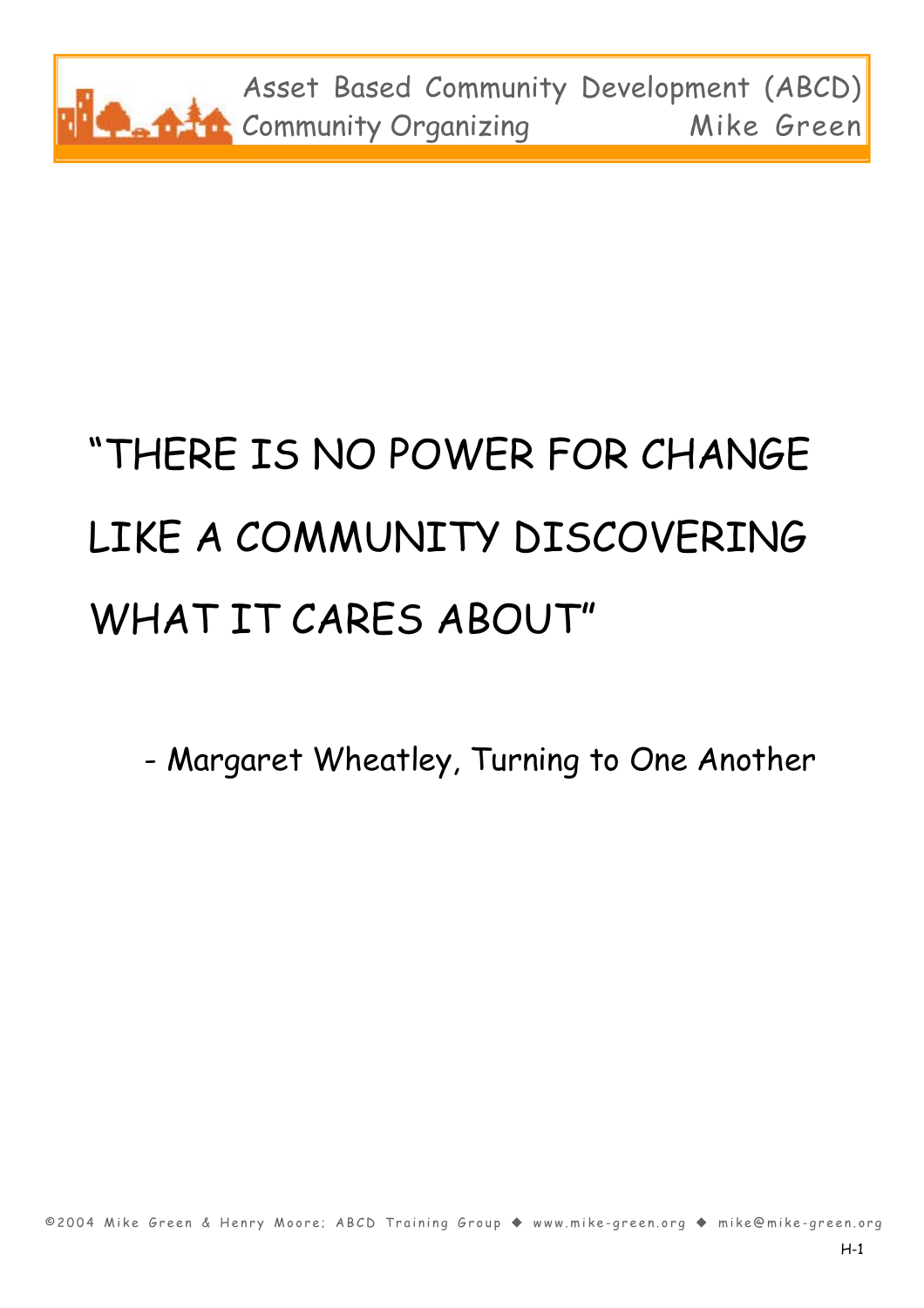

# "THERE IS NO POWER FOR CHANGE LIKE A COMMUNITY DISCOVERING WHAT IT CARES ABOUT"

- Margaret Wheatley, Turning to One Another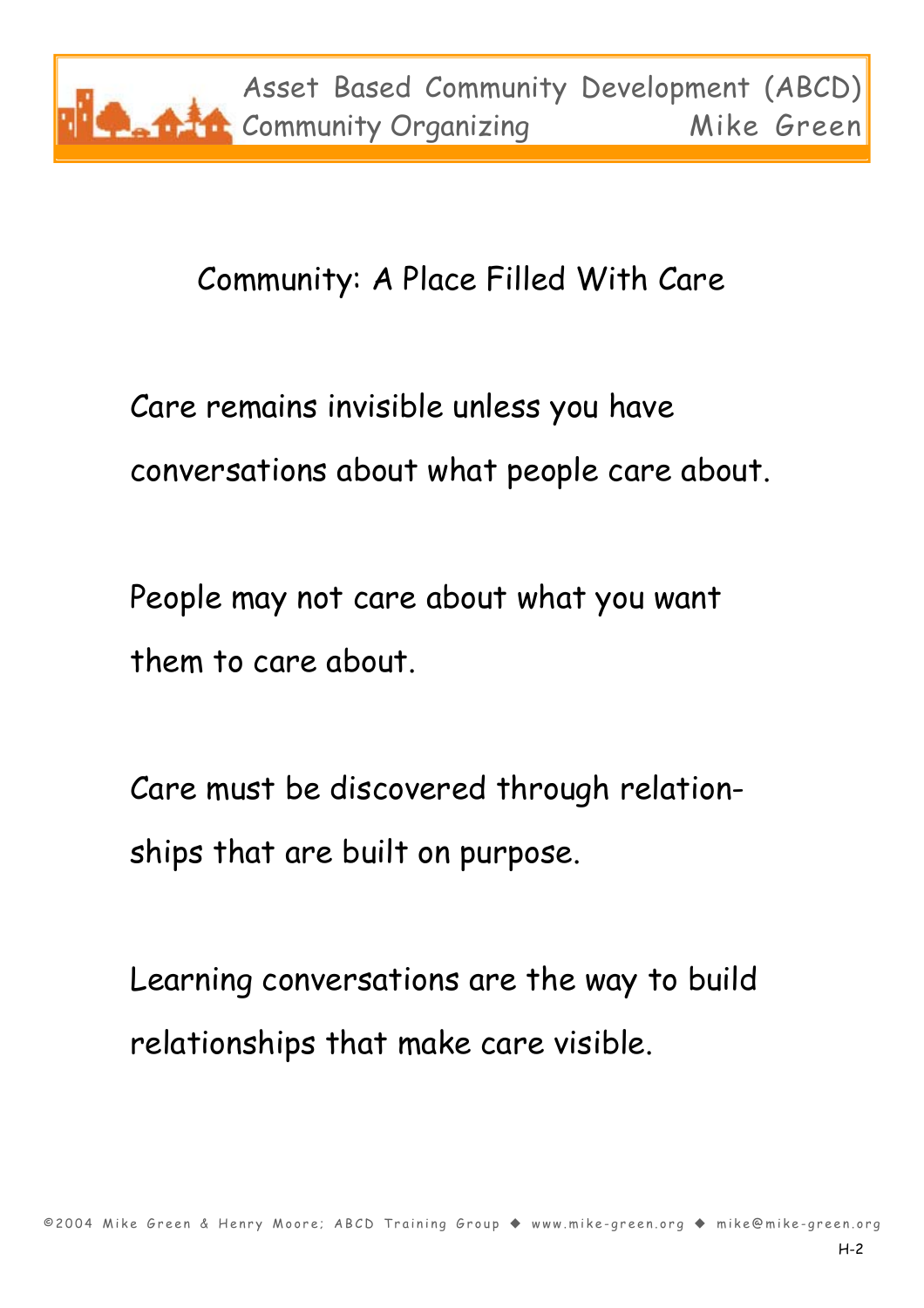#### Community: A Place Filled With Care

Care remains invisible unless you have conversations about what people care about.

People may not care about what you want them to care about.

Care must be discovered through relationships that are built on purpose.

Learning conversations are the way to build relationships that make care visible.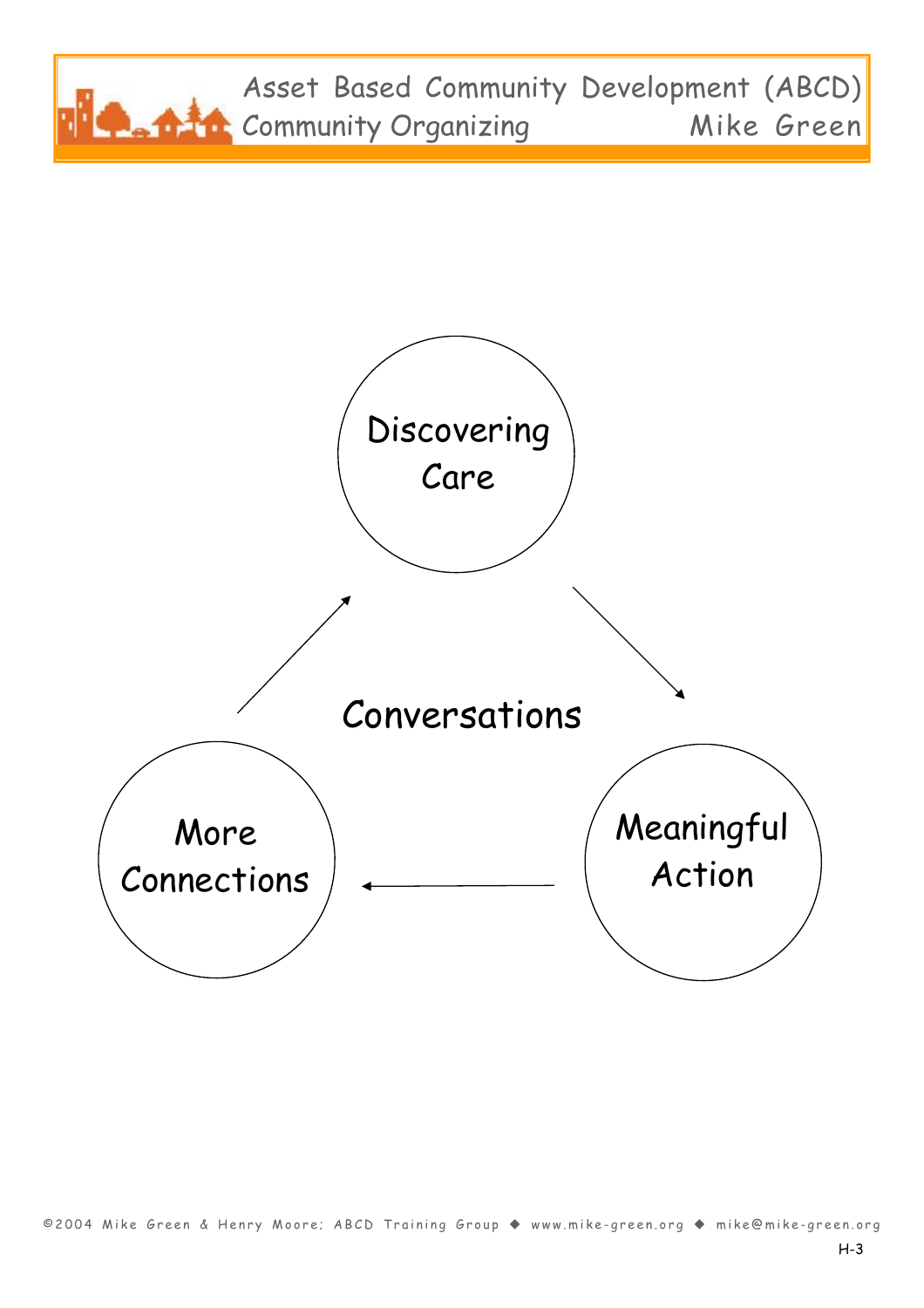

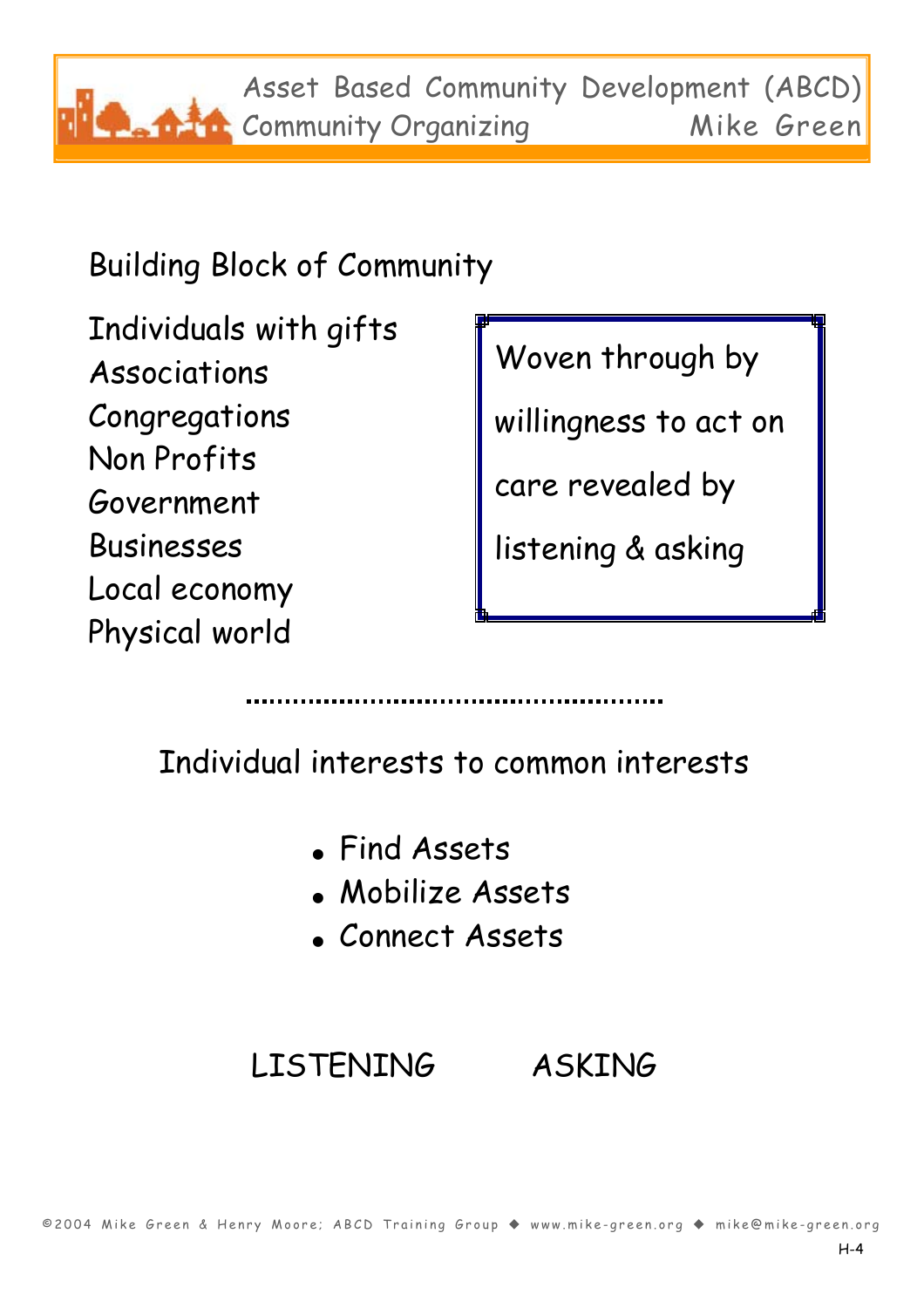Asset Based Community Development (ABCD) **Community Organizing Mike Green** 

Building Block of Community

Individuals with gifts Associations Congregations Non Profits Government Businesses Local economy Physical world

Woven through by

willingness to act on

care revealed by

listening & asking

Individual interests to common interests

- Find Assets
- Mobilize Assets
- Connect Assets

#### LISTENING ASKING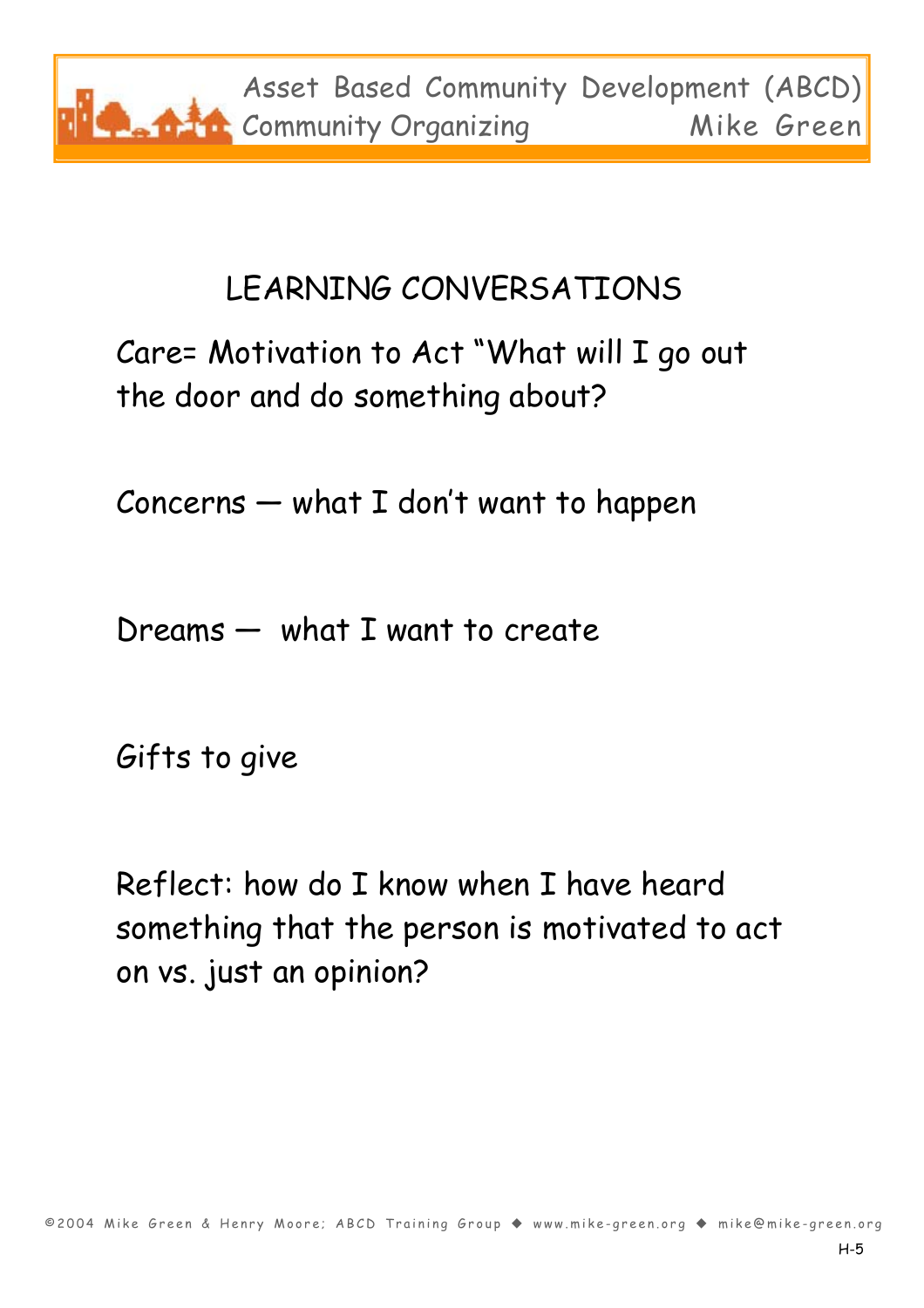

#### LEARNING CONVERSATIONS

#### Care= Motivation to Act "What will I go out the door and do something about?

Concerns — what I don't want to happen

Dreams — what I want to create

Gifts to give

Reflect: how do I know when I have heard something that the person is motivated to act on vs. just an opinion?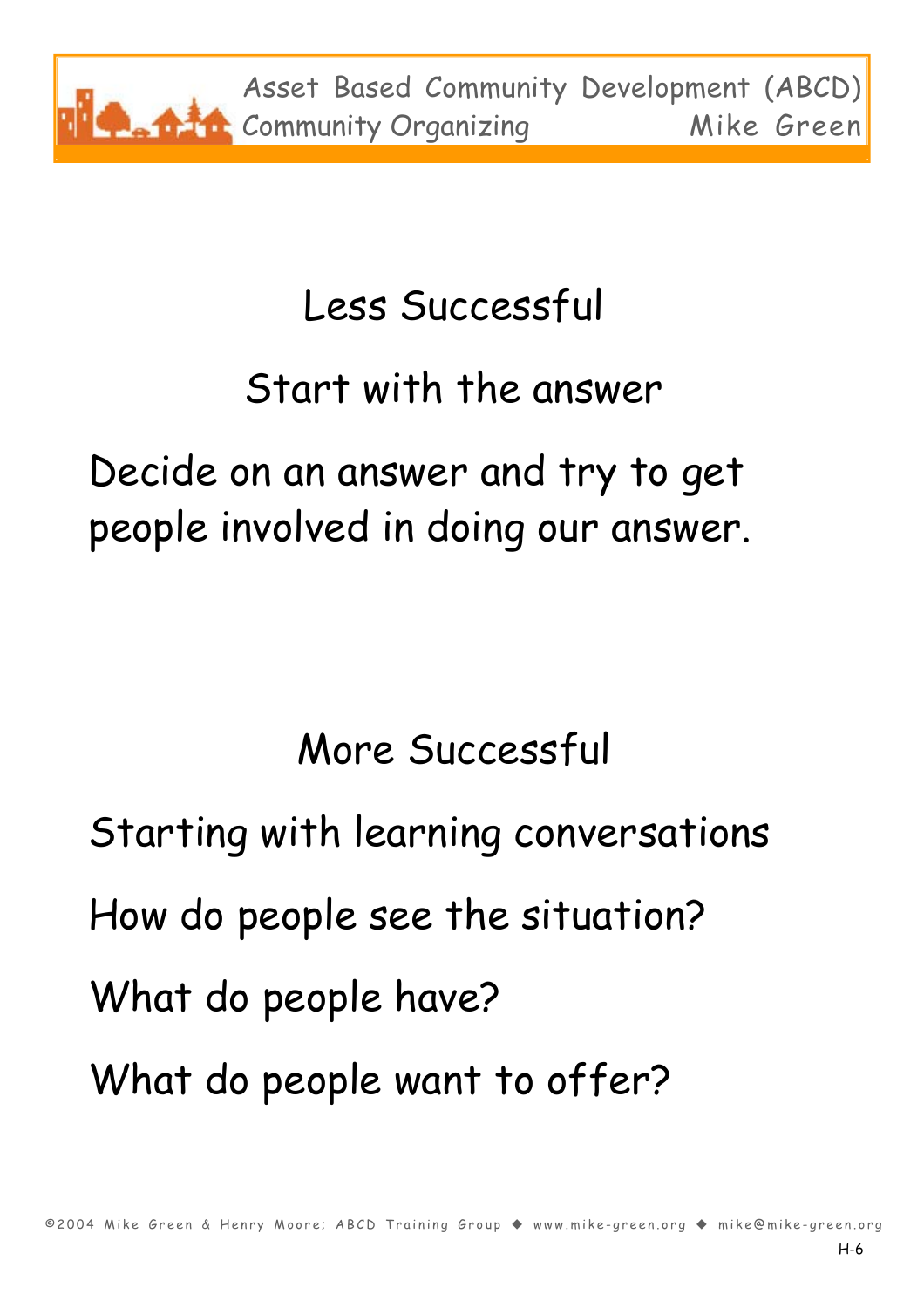

## Less Successful

## Start with the answer

Decide on an answer and try to get people involved in doing our answer.

More Successful

Starting with learning conversations How do people see the situation? What do people have? What do people want to offer?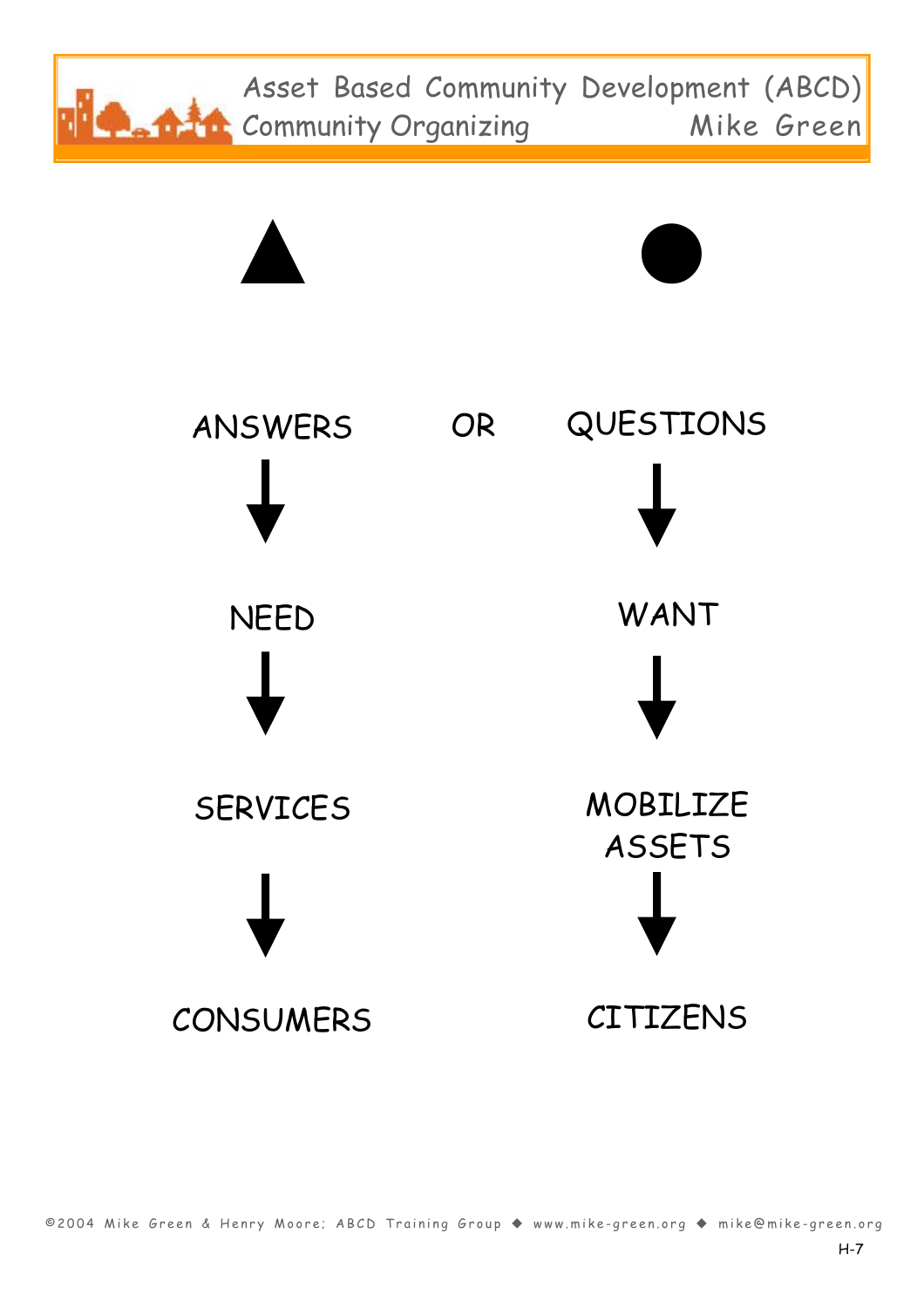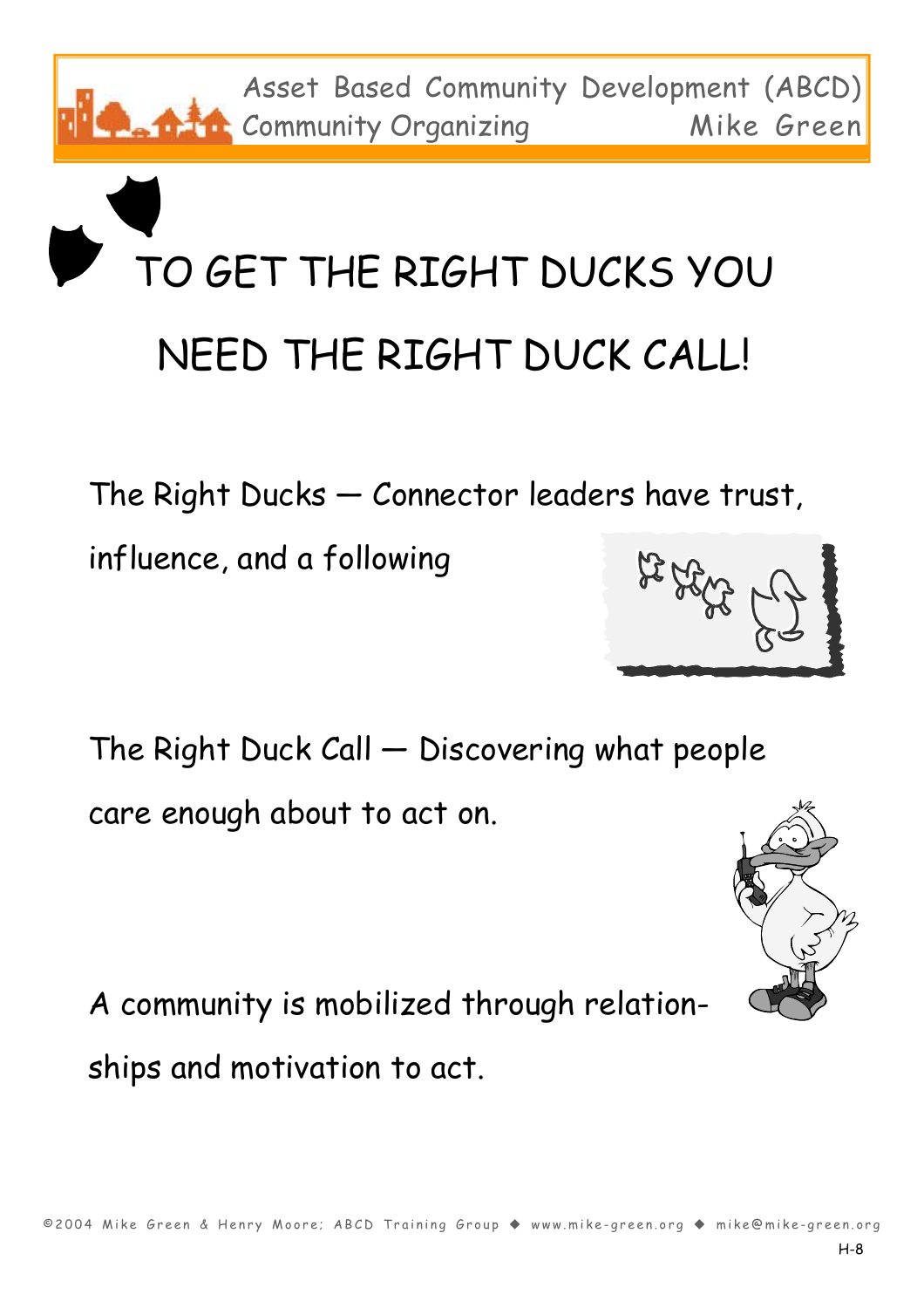A community is mobilized through relationships and motivation to act.

The Right Duck Call — Discovering what people care enough about to act on.

The Right Ducks — Connector leaders have trust,

influence, and a following

TO GET THE RIGHT DUCKS YOU NEED THE RIGHT DUCK CALL!

Asset Based Community Development (ABCD) Community Organizing Mike Green